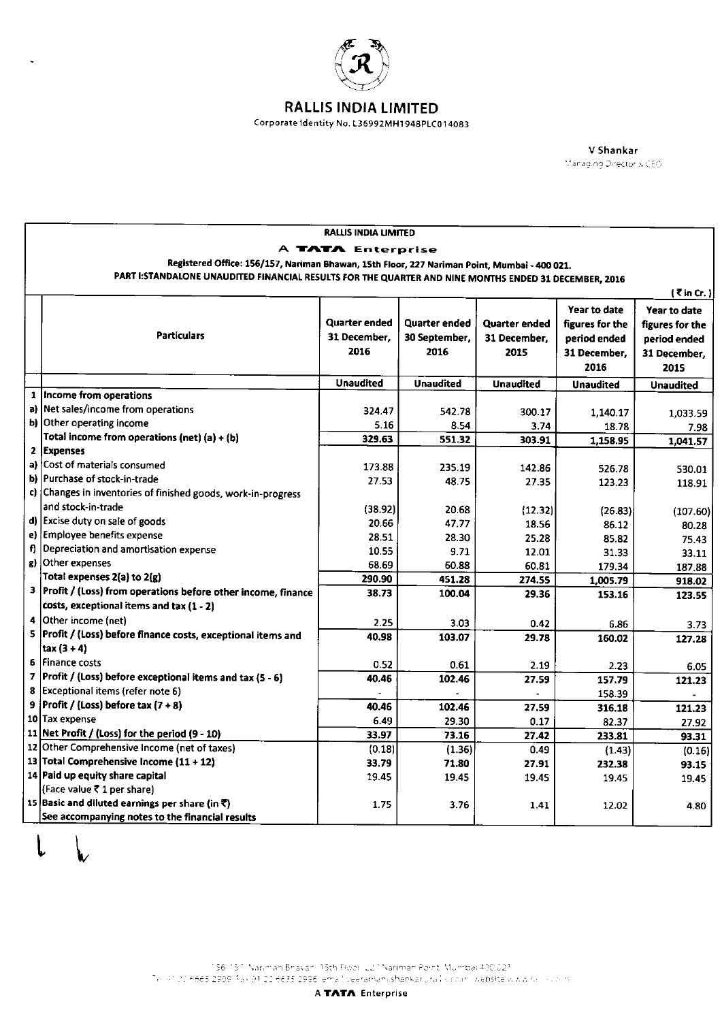

 $\ddot{\phantom{0}}$ 

## **RALLIS INDIA LIMITED**

Corporate Identity No. L36992MH1948PLC014083

V Shankar Managing Director & CEO

|                   |                                                                                                                                                                                                                                  | <b>RALLIS INDIA LIMITED</b> |                  |                  |                  |                  |  |  |  |
|-------------------|----------------------------------------------------------------------------------------------------------------------------------------------------------------------------------------------------------------------------------|-----------------------------|------------------|------------------|------------------|------------------|--|--|--|
| A TATA Enterprise |                                                                                                                                                                                                                                  |                             |                  |                  |                  |                  |  |  |  |
|                   | Registered Office: 156/157, Nariman Bhawan, 15th Floor, 227 Nariman Point, Mumbai - 400 021.<br>PART I: STANDALONE UNAUDITED FINANCIAL RESULTS FOR THE QUARTER AND NINE MONTHS ENDED 31 DECEMBER, 2016<br>$\mathcal{R}$ in Cr. ) |                             |                  |                  |                  |                  |  |  |  |
|                   |                                                                                                                                                                                                                                  |                             |                  |                  |                  |                  |  |  |  |
|                   |                                                                                                                                                                                                                                  |                             |                  |                  |                  |                  |  |  |  |
|                   |                                                                                                                                                                                                                                  |                             |                  |                  | Year to date     | Year to date     |  |  |  |
|                   |                                                                                                                                                                                                                                  | Quarter ended               | Quarter ended    | Quarter ended    | figures for the  | figures for the  |  |  |  |
|                   | <b>Particulars</b>                                                                                                                                                                                                               | 31 December.                | 30 September,    | 31 December,     | period ended     | period ended     |  |  |  |
|                   |                                                                                                                                                                                                                                  | 2016                        | 2016             | 2015             | 31 December,     | 31 December.     |  |  |  |
|                   |                                                                                                                                                                                                                                  |                             |                  |                  | 2016             | 2015             |  |  |  |
|                   |                                                                                                                                                                                                                                  | <b>Unaudited</b>            | <b>Unaudited</b> | <b>Unaudited</b> | <b>Unaudited</b> | <b>Unaudited</b> |  |  |  |
|                   | 1   Income from operations                                                                                                                                                                                                       |                             |                  |                  |                  |                  |  |  |  |
|                   | a) Net sales/income from operations                                                                                                                                                                                              | 324.47                      | 542.78           | 300.17           | 1,140.17         | 1,033.59         |  |  |  |
|                   | b) Other operating income                                                                                                                                                                                                        | 5.16                        | 8.54             | 3.74             | 18.78            | 7.98             |  |  |  |
|                   | Total income from operations (net) (a) + (b)                                                                                                                                                                                     | 329.63                      | 551.32           | 303.91           | 1,158.95         | 1,041.57         |  |  |  |
| $\mathbf{z}$      | <b>Expenses</b>                                                                                                                                                                                                                  |                             |                  |                  |                  |                  |  |  |  |
|                   | a) Cost of materials consumed                                                                                                                                                                                                    | 173.88                      | 235.19           | 142.86           | 526.78           | 530.01           |  |  |  |
|                   | b) Purchase of stock-in-trade                                                                                                                                                                                                    | 27.53                       | 48.75            | 27.35            | 123.23           | 118.91           |  |  |  |
|                   | c) Changes in inventories of finished goods, work-in-progress                                                                                                                                                                    |                             |                  |                  |                  |                  |  |  |  |
|                   | and stock-in-trade                                                                                                                                                                                                               | (38.92)                     | 20.68            | (12.32)          | (26.83)          | (107.60)         |  |  |  |
|                   | d) Excise duty on sale of goods                                                                                                                                                                                                  | 20.66                       | 47.77            | 18.56            | 86.12            | 80.28            |  |  |  |
|                   | e) Employee benefits expense                                                                                                                                                                                                     | 28.51                       | 28.30            | 25.28            | 85.82            | 75.43            |  |  |  |
| f)                | Depreciation and amortisation expense                                                                                                                                                                                            | 10.55                       | 9.71             | 12.01            | 31.33            | 33.11            |  |  |  |
| g)                | Other expenses                                                                                                                                                                                                                   | 68.69                       | 60.88            | 60.81            | 179.34           | 187.88           |  |  |  |
|                   | Total expenses 2(a) to 2(g)                                                                                                                                                                                                      | 290.90                      | 451.28           | 274.55           | 1,005.79         | 918.02           |  |  |  |
|                   | 3 Profit / (Loss) from operations before other income, finance                                                                                                                                                                   | 38.73                       | 100.04           | 29.36            | 153.16           | 123.55           |  |  |  |
|                   | costs, exceptional items and tax (1 - 2)                                                                                                                                                                                         |                             |                  |                  |                  |                  |  |  |  |
| 4                 | Other income (net)                                                                                                                                                                                                               | 2.25                        | 3.03             | 0.42             | 6.86             | 3.73             |  |  |  |
| 5                 | Profit / (Loss) before finance costs, exceptional items and                                                                                                                                                                      | 40.98                       | 103.07           | 29.78            | 160.02           | 127.28           |  |  |  |
|                   | $\text{tax} (3 + 4)$                                                                                                                                                                                                             |                             |                  |                  |                  |                  |  |  |  |
|                   | 6 Finance costs                                                                                                                                                                                                                  | 0.52                        | 0.61             | 2.19             | 2.23             | 6.05             |  |  |  |
| $\overline{z}$    | Profit / (Loss) before exceptional items and tax (5 - 6)                                                                                                                                                                         | 40.46                       | 102.46           | 27.59            | 157.79           | 121.23           |  |  |  |
| 8                 | Exceptional items (refer note 6)                                                                                                                                                                                                 |                             |                  |                  | 158.39           |                  |  |  |  |
| 9                 | Profit / (Loss) before tax $(7 + 8)$                                                                                                                                                                                             | 40.46                       | 102.46           | 27.59            | 316.18           | 121.23           |  |  |  |
|                   | 10 Tax expense                                                                                                                                                                                                                   | 6.49                        | 29.30            | 0.17             | 82.37            | 27.92            |  |  |  |
| 11                | Net Profit / (Loss) for the period (9 - 10)                                                                                                                                                                                      | 33.97                       | 73.16            | 27.42            | 233.81           | 93.31            |  |  |  |
|                   | 12 Other Comprehensive Income (net of taxes)                                                                                                                                                                                     | (0.18)                      | (1.36)           | 0.49             | (1.43)           | (0.16)           |  |  |  |
|                   | 13 Total Comprehensive Income (11 + 12)                                                                                                                                                                                          | 33.79                       | 71.80            | 27.91            | 232.38           | 93.15            |  |  |  |
|                   | 14 Paid up equity share capital                                                                                                                                                                                                  | 19.45                       | 19.45            | 1945             | 19.45            | 19.45            |  |  |  |
|                   | (Face value ₹ 1 per share)                                                                                                                                                                                                       |                             |                  |                  |                  |                  |  |  |  |
|                   | 15 Basic and diluted earnings per share (in $\bar{z}$ )                                                                                                                                                                          | 1.75                        | 3.76             | 1.41             | 12.02            | 4.80             |  |  |  |
|                   | See accompanying notes to the financial results                                                                                                                                                                                  |                             |                  |                  |                  |                  |  |  |  |

196-151 Nariman Bhavan (19th Floor, 221 Nariman Point, Mumbai 400.021)<br>Tellyi (21 6665 2909 Fax 91, 22 6635 2996) ema liveeramanishankar pra lisroon, website www.calis.com (1965) وال